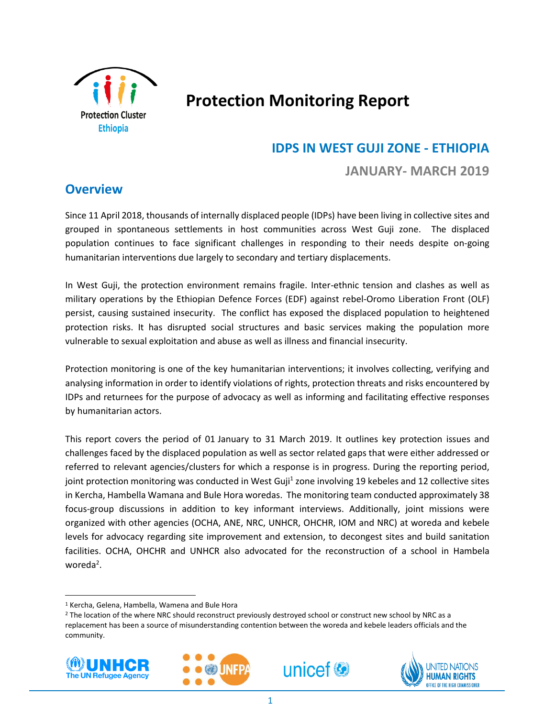

# **Protection Monitoring Report**

### **IDPS IN WEST GUJI ZONE - ETHIOPIA**

### **JANUARY- MARCH 2019**

### **Overview**

Since 11 April 2018, thousands of internally displaced people (IDPs) have been living in collective sites and grouped in spontaneous settlements in host communities across West Guji zone. The displaced population continues to face significant challenges in responding to their needs despite on-going humanitarian interventions due largely to secondary and tertiary displacements.

In West Guji, the protection environment remains fragile. Inter-ethnic tension and clashes as well as military operations by the Ethiopian Defence Forces (EDF) against rebel-Oromo Liberation Front (OLF) persist, causing sustained insecurity. The conflict has exposed the displaced population to heightened protection risks. It has disrupted social structures and basic services making the population more vulnerable to sexual exploitation and abuse as well as illness and financial insecurity.

Protection monitoring is one of the key humanitarian interventions; it involves collecting, verifying and analysing information in order to identify violations of rights, protection threats and risks encountered by IDPs and returnees for the purpose of advocacy as well as informing and facilitating effective responses by humanitarian actors.

This report covers the period of 01 January to 31 March 2019. It outlines key protection issues and challenges faced by the displaced population as well as sector related gaps that were either addressed or referred to relevant agencies/clusters for which a response is in progress. During the reporting period, joint protection monitoring was conducted in West Guji<sup>1</sup> zone involving 19 kebeles and 12 collective sites in Kercha, Hambella Wamana and Bule Hora woredas. The monitoring team conducted approximately 38 focus-group discussions in addition to key informant interviews. Additionally, joint missions were organized with other agencies (OCHA, ANE, NRC, UNHCR, OHCHR, IOM and NRC) at woreda and kebele levels for advocacy regarding site improvement and extension, to decongest sites and build sanitation facilities. OCHA, OHCHR and UNHCR also advocated for the reconstruction of a school in Hambela woreda<sup>2</sup>.

<sup>&</sup>lt;sup>2</sup> The location of the where NRC should reconstruct previously destroyed school or construct new school by NRC as a replacement has been a source of misunderstanding contention between the woreda and kebele leaders officials and the community.



l,







<sup>1</sup> Kercha, Gelena, Hambella, Wamena and Bule Hora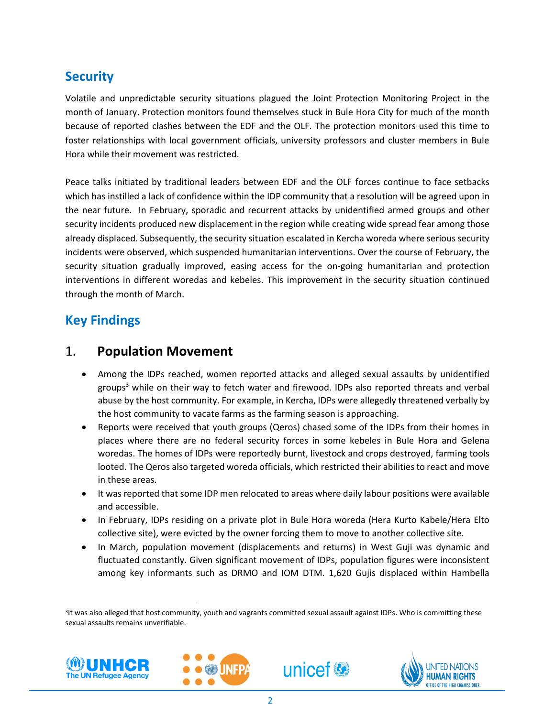## **Security**

Volatile and unpredictable security situations plagued the Joint Protection Monitoring Project in the month of January. Protection monitors found themselves stuck in Bule Hora City for much of the month because of reported clashes between the EDF and the OLF. The protection monitors used this time to foster relationships with local government officials, university professors and cluster members in Bule Hora while their movement was restricted.

Peace talks initiated by traditional leaders between EDF and the OLF forces continue to face setbacks which has instilled a lack of confidence within the IDP community that a resolution will be agreed upon in the near future. In February, sporadic and recurrent attacks by unidentified armed groups and other security incidents produced new displacement in the region while creating wide spread fear among those already displaced. Subsequently, the security situation escalated in Kercha woreda where serious security incidents were observed, which suspended humanitarian interventions. Over the course of February, the security situation gradually improved, easing access for the on-going humanitarian and protection interventions in different woredas and kebeles. This improvement in the security situation continued through the month of March.

### **Key Findings**

### 1. **Population Movement**

- Among the IDPs reached, women reported attacks and alleged sexual assaults by unidentified groups<sup>3</sup> while on their way to fetch water and firewood. IDPs also reported threats and verbal abuse by the host community. For example, in Kercha, IDPs were allegedly threatened verbally by the host community to vacate farms as the farming season is approaching.
- Reports were received that youth groups (Qeros) chased some of the IDPs from their homes in places where there are no federal security forces in some kebeles in Bule Hora and Gelena woredas. The homes of IDPs were reportedly burnt, livestock and crops destroyed, farming tools looted. The Qeros also targeted woreda officials, which restricted their abilities to react and move in these areas.
- It was reported that some IDP men relocated to areas where daily labour positions were available and accessible.
- In February, IDPs residing on a private plot in Bule Hora woreda (Hera Kurto Kabele/Hera Elto collective site), were evicted by the owner forcing them to move to another collective site.
- In March, population movement (displacements and returns) in West Guji was dynamic and fluctuated constantly. Given significant movement of IDPs, population figures were inconsistent among key informants such as DRMO and IOM DTM. 1,620 Gujis displaced within Hambella

<sup>3</sup> It was also alleged that host community, youth and vagrants committed sexual assault against IDPs. Who is committing these sexual assaults remains unverifiable.



l,





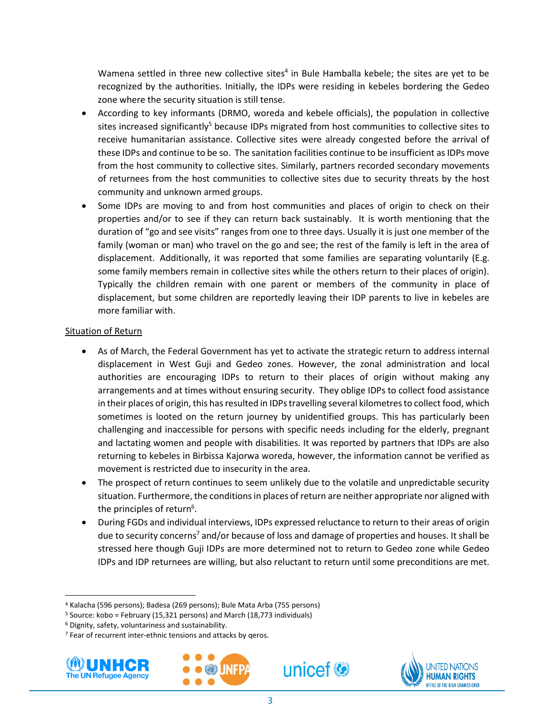Wamena settled in three new collective sites<sup>4</sup> in Bule Hamballa kebele; the sites are yet to be recognized by the authorities. Initially, the IDPs were residing in kebeles bordering the Gedeo zone where the security situation is still tense.

- According to key informants (DRMO, woreda and kebele officials), the population in collective sites increased significantly<sup>5</sup> because IDPs migrated from host communities to collective sites to receive humanitarian assistance. Collective sites were already congested before the arrival of these IDPs and continue to be so. The sanitation facilities continue to be insufficient as IDPs move from the host community to collective sites. Similarly, partners recorded secondary movements of returnees from the host communities to collective sites due to security threats by the host community and unknown armed groups.
- Some IDPs are moving to and from host communities and places of origin to check on their properties and/or to see if they can return back sustainably. It is worth mentioning that the duration of "go and see visits" ranges from one to three days. Usually it is just one member of the family (woman or man) who travel on the go and see; the rest of the family is left in the area of displacement. Additionally, it was reported that some families are separating voluntarily (E.g. some family members remain in collective sites while the others return to their places of origin). Typically the children remain with one parent or members of the community in place of displacement, but some children are reportedly leaving their IDP parents to live in kebeles are more familiar with.

#### Situation of Return

- As of March, the Federal Government has yet to activate the strategic return to address internal displacement in West Guji and Gedeo zones. However, the zonal administration and local authorities are encouraging IDPs to return to their places of origin without making any arrangements and at times without ensuring security. They oblige IDPs to collect food assistance in their places of origin, this has resulted in IDPs travelling several kilometres to collect food, which sometimes is looted on the return journey by unidentified groups. This has particularly been challenging and inaccessible for persons with specific needs including for the elderly, pregnant and lactating women and people with disabilities. It was reported by partners that IDPs are also returning to kebeles in Birbissa Kajorwa woreda, however, the information cannot be verified as movement is restricted due to insecurity in the area.
- The prospect of return continues to seem unlikely due to the volatile and unpredictable security situation. Furthermore, the conditions in places of return are neither appropriate nor aligned with the principles of return<sup>6</sup>.
- During FGDs and individual interviews, IDPs expressed reluctance to return to their areas of origin due to security concerns<sup>7</sup> and/or because of loss and damage of properties and houses. It shall be stressed here though Guji IDPs are more determined not to return to Gedeo zone while Gedeo IDPs and IDP returnees are willing, but also reluctant to return until some preconditions are met.

<sup>&</sup>lt;sup>7</sup> Fear of recurrent inter-ethnic tensions and attacks by geros.



l,







<sup>4</sup> Kalacha (596 persons); Badesa (269 persons); Bule Mata Arba (755 persons)

<sup>5</sup> Source: kobo = February (15,321 persons) and March (18,773 individuals)

<sup>6</sup> Dignity, safety, voluntariness and sustainability.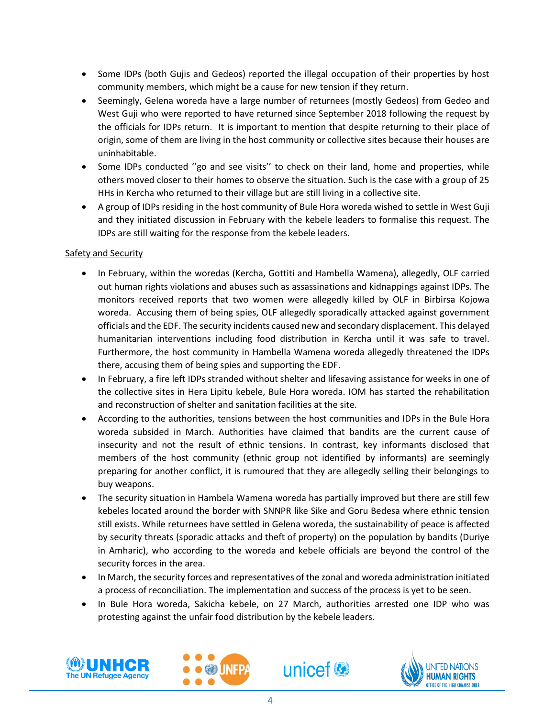- Some IDPs (both Gujis and Gedeos) reported the illegal occupation of their properties by host community members, which might be a cause for new tension if they return.
- Seemingly, Gelena woreda have a large number of returnees (mostly Gedeos) from Gedeo and West Guji who were reported to have returned since September 2018 following the request by the officials for IDPs return. It is important to mention that despite returning to their place of origin, some of them are living in the host community or collective sites because their houses are uninhabitable.
- Some IDPs conducted "go and see visits" to check on their land, home and properties, while others moved closer to their homes to observe the situation. Such is the case with a group of 25 HHs in Kercha who returned to their village but are still living in a collective site.
- A group of IDPs residing in the host community of Bule Hora woreda wished to settle in West Guji and they initiated discussion in February with the kebele leaders to formalise this request. The IDPs are still waiting for the response from the kebele leaders.

#### Safety and Security

- In February, within the woredas (Kercha, Gottiti and Hambella Wamena), allegedly, OLF carried out human rights violations and abuses such as assassinations and kidnappings against IDPs. The monitors received reports that two women were allegedly killed by OLF in Birbirsa Kojowa woreda. Accusing them of being spies, OLF allegedly sporadically attacked against government officials and the EDF. The security incidents caused new and secondary displacement. This delayed humanitarian interventions including food distribution in Kercha until it was safe to travel. Furthermore, the host community in Hambella Wamena woreda allegedly threatened the IDPs there, accusing them of being spies and supporting the EDF.
- In February, a fire left IDPs stranded without shelter and lifesaving assistance for weeks in one of the collective sites in Hera Lipitu kebele, Bule Hora woreda. IOM has started the rehabilitation and reconstruction of shelter and sanitation facilities at the site.
- According to the authorities, tensions between the host communities and IDPs in the Bule Hora woreda subsided in March. Authorities have claimed that bandits are the current cause of insecurity and not the result of ethnic tensions. In contrast, key informants disclosed that members of the host community (ethnic group not identified by informants) are seemingly preparing for another conflict, it is rumoured that they are allegedly selling their belongings to buy weapons.
- The security situation in Hambela Wamena woreda has partially improved but there are still few kebeles located around the border with SNNPR like Sike and Goru Bedesa where ethnic tension still exists. While returnees have settled in Gelena woreda, the sustainability of peace is affected by security threats (sporadic attacks and theft of property) on the population by bandits (Duriye in Amharic), who according to the woreda and kebele officials are beyond the control of the security forces in the area.
- In March, the security forces and representatives of the zonal and woreda administration initiated a process of reconciliation. The implementation and success of the process is yet to be seen.
- In Bule Hora woreda, Sakicha kebele, on 27 March, authorities arrested one IDP who was protesting against the unfair food distribution by the kebele leaders.







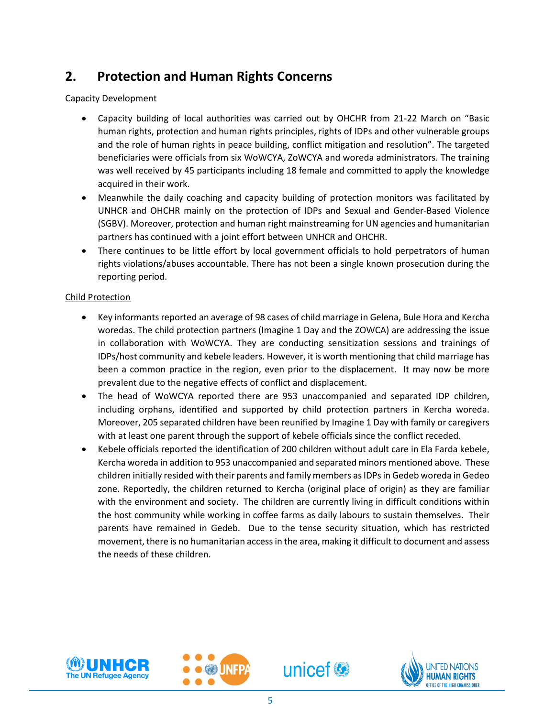## **2. Protection and Human Rights Concerns**

#### Capacity Development

- Capacity building of local authorities was carried out by OHCHR from 21-22 March on "Basic human rights, protection and human rights principles, rights of IDPs and other vulnerable groups and the role of human rights in peace building, conflict mitigation and resolution". The targeted beneficiaries were officials from six WoWCYA, ZoWCYA and woreda administrators. The training was well received by 45 participants including 18 female and committed to apply the knowledge acquired in their work.
- Meanwhile the daily coaching and capacity building of protection monitors was facilitated by UNHCR and OHCHR mainly on the protection of IDPs and Sexual and Gender-Based Violence (SGBV). Moreover, protection and human right mainstreaming for UN agencies and humanitarian partners has continued with a joint effort between UNHCR and OHCHR.
- There continues to be little effort by local government officials to hold perpetrators of human rights violations/abuses accountable. There has not been a single known prosecution during the reporting period.

#### Child Protection

- Key informants reported an average of 98 cases of child marriage in Gelena, Bule Hora and Kercha woredas. The child protection partners (Imagine 1 Day and the ZOWCA) are addressing the issue in collaboration with WoWCYA. They are conducting sensitization sessions and trainings of IDPs/host community and kebele leaders. However, it is worth mentioning that child marriage has been a common practice in the region, even prior to the displacement. It may now be more prevalent due to the negative effects of conflict and displacement.
- The head of WoWCYA reported there are 953 unaccompanied and separated IDP children, including orphans, identified and supported by child protection partners in Kercha woreda. Moreover, 205 separated children have been reunified by Imagine 1 Day with family or caregivers with at least one parent through the support of kebele officials since the conflict receded.
- Kebele officials reported the identification of 200 children without adult care in Ela Farda kebele, Kercha woreda in addition to 953 unaccompanied and separated minors mentioned above. These children initially resided with their parents and family members as IDPs in Gedeb woreda in Gedeo zone. Reportedly, the children returned to Kercha (original place of origin) as they are familiar with the environment and society. The children are currently living in difficult conditions within the host community while working in coffee farms as daily labours to sustain themselves. Their parents have remained in Gedeb. Due to the tense security situation, which has restricted movement, there is no humanitarian accessin the area, making it difficult to document and assess the needs of these children.



l,





**JUNFPA**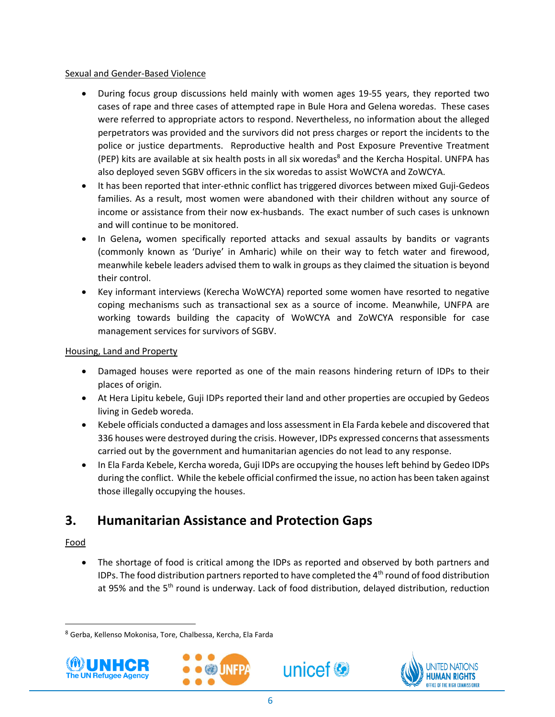#### Sexual and Gender-Based Violence

- During focus group discussions held mainly with women ages 19-55 years, they reported two cases of rape and three cases of attempted rape in Bule Hora and Gelena woredas. These cases were referred to appropriate actors to respond. Nevertheless, no information about the alleged perpetrators was provided and the survivors did not press charges or report the incidents to the police or justice departments. Reproductive health and Post Exposure Preventive Treatment (PEP) kits are available at six health posts in all six woredas <sup>8</sup> and the Kercha Hospital. UNFPA has also deployed seven SGBV officers in the six woredas to assist WoWCYA and ZoWCYA.
- It has been reported that inter-ethnic conflict has triggered divorces between mixed Guji-Gedeos families. As a result, most women were abandoned with their children without any source of income or assistance from their now ex-husbands. The exact number of such cases is unknown and will continue to be monitored.
- In Gelena**,** women specifically reported attacks and sexual assaults by bandits or vagrants (commonly known as 'Duriye' in Amharic) while on their way to fetch water and firewood, meanwhile kebele leaders advised them to walk in groups as they claimed the situation is beyond their control.
- Key informant interviews (Kerecha WoWCYA) reported some women have resorted to negative coping mechanisms such as transactional sex as a source of income. Meanwhile, UNFPA are working towards building the capacity of WoWCYA and ZoWCYA responsible for case management services for survivors of SGBV.

#### Housing, Land and Property

- Damaged houses were reported as one of the main reasons hindering return of IDPs to their places of origin.
- At Hera Lipitu kebele, Guji IDPs reported their land and other properties are occupied by Gedeos living in Gedeb woreda.
- Kebele officials conducted a damages and loss assessment in Ela Farda kebele and discovered that 336 houses were destroyed during the crisis. However, IDPs expressed concerns that assessments carried out by the government and humanitarian agencies do not lead to any response.
- In Ela Farda Kebele, Kercha woreda, Guji IDPs are occupying the houses left behind by Gedeo IDPs during the conflict. While the kebele official confirmed the issue, no action has been taken against those illegally occupying the houses.

### **3. Humanitarian Assistance and Protection Gaps**

#### Food

l,

 $\overline{\phantom{a}}$ 

 The shortage of food is critical among the IDPs as reported and observed by both partners and IDPs. The food distribution partners reported to have completed the  $4<sup>th</sup>$  round of food distribution at 95% and the  $5<sup>th</sup>$  round is underway. Lack of food distribution, delayed distribution, reduction

unicef<sup>®</sup>

<sup>8</sup> Gerba, Kellenso Mokonisa, Tore, Chalbessa, Kercha, Ela Farda





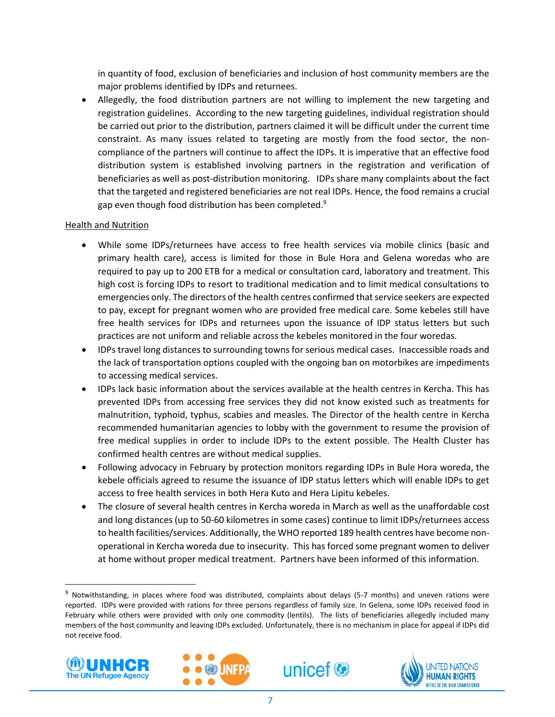in quantity of food, exclusion of beneficiaries and inclusion of host community members are the major problems identified by IDPs and returnees.

 Allegedly, the food distribution partners are not willing to implement the new targeting and registration guidelines. According to the new targeting guidelines, individual registration should be carried out prior to the distribution, partners claimed it will be difficult under the current time constraint. As many issues related to targeting are mostly from the food sector, the noncompliance of the partners will continue to affect the IDPs. It is imperative that an effective food distribution system is established involving partners in the registration and verification of beneficiaries as well as post-distribution monitoring. IDPs share many complaints about the fact that the targeted and registered beneficiaries are not real IDPs. Hence, the food remains a crucial gap even though food distribution has been completed.<sup>9</sup>

#### Health and Nutrition

- While some IDPs/returnees have access to free health services via mobile clinics (basic and primary health care), access is limited for those in Bule Hora and Gelena woredas who are required to pay up to 200 ETB for a medical or consultation card, laboratory and treatment. This high cost is forcing IDPs to resort to traditional medication and to limit medical consultations to emergencies only. The directors of the health centres confirmed that service seekers are expected to pay, except for pregnant women who are provided free medical care. Some kebeles still have free health services for IDPs and returnees upon the issuance of IDP status letters but such practices are not uniform and reliable across the kebeles monitored in the four woredas.
- IDPs travel long distances to surrounding towns for serious medical cases. Inaccessible roads and the lack of transportation options coupled with the ongoing ban on motorbikes are impediments to accessing medical services.
- IDPs lack basic information about the services available at the health centres in Kercha. This has prevented IDPs from accessing free services they did not know existed such as treatments for malnutrition, typhoid, typhus, scabies and measles. The Director of the health centre in Kercha recommended humanitarian agencies to lobby with the government to resume the provision of free medical supplies in order to include IDPs to the extent possible. The Health Cluster has confirmed health centres are without medical supplies.
- Following advocacy in February by protection monitors regarding IDPs in Bule Hora woreda, the kebele officials agreed to resume the issuance of IDP status letters which will enable IDPs to get access to free health services in both Hera Kuto and Hera Lipitu kebeles.
- The closure of several health centres in Kercha woreda in March as well as the unaffordable cost and long distances (up to 50-60 kilometres in some cases) continue to limit IDPs/returnees access to health facilities/services. Additionally, the WHO reported 189 health centres have become nonoperational in Kercha woreda due to insecurity. This has forced some pregnant women to deliver at home without proper medical treatment. Partners have been informed of this information.

 $9$  Notwithstanding, in places where food was distributed, complaints about delays (5-7 months) and uneven rations were reported. IDPs were provided with rations for three persons regardless of family size. In Gelena, some IDPs received food in February while others were provided with only one commodity (lentils). The lists of beneficiaries allegedly included many members of the host community and leaving IDPs excluded. Unfortunately, there is no mechanism in place for appeal if IDPs did not receive food.



l,





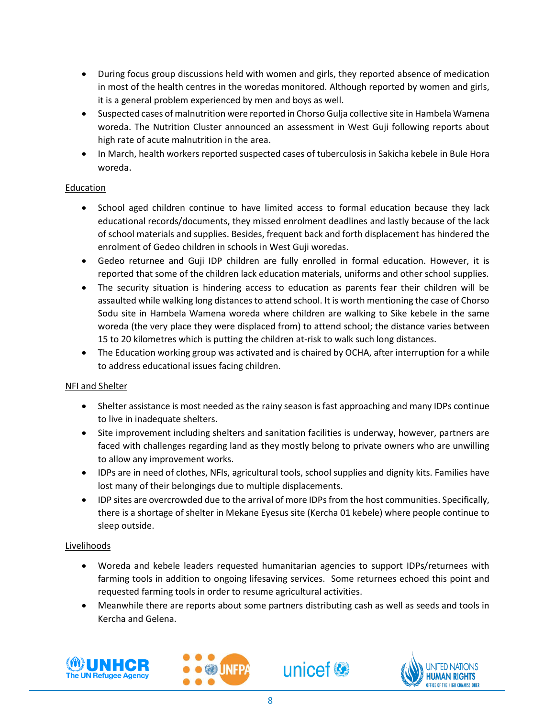- During focus group discussions held with women and girls, they reported absence of medication in most of the health centres in the woredas monitored. Although reported by women and girls, it is a general problem experienced by men and boys as well.
- Suspected cases of malnutrition were reported in Chorso Gulja collective site in Hambela Wamena woreda. The Nutrition Cluster announced an assessment in West Guji following reports about high rate of acute malnutrition in the area.
- In March, health workers reported suspected cases of tuberculosis in Sakicha kebele in Bule Hora woreda.

#### Education

- School aged children continue to have limited access to formal education because they lack educational records/documents, they missed enrolment deadlines and lastly because of the lack of school materials and supplies. Besides, frequent back and forth displacement has hindered the enrolment of Gedeo children in schools in West Guji woredas.
- Gedeo returnee and Guji IDP children are fully enrolled in formal education. However, it is reported that some of the children lack education materials, uniforms and other school supplies.
- The security situation is hindering access to education as parents fear their children will be assaulted while walking long distances to attend school. It is worth mentioning the case of Chorso Sodu site in Hambela Wamena woreda where children are walking to Sike kebele in the same woreda (the very place they were displaced from) to attend school; the distance varies between 15 to 20 kilometres which is putting the children at-risk to walk such long distances.
- The Education working group was activated and is chaired by OCHA, after interruption for a while to address educational issues facing children.

#### NFI and Shelter

- Shelter assistance is most needed as the rainy season is fast approaching and many IDPs continue to live in inadequate shelters.
- Site improvement including shelters and sanitation facilities is underway, however, partners are faced with challenges regarding land as they mostly belong to private owners who are unwilling to allow any improvement works.
- IDPs are in need of clothes, NFIs, agricultural tools, school supplies and dignity kits. Families have lost many of their belongings due to multiple displacements.
- IDP sites are overcrowded due to the arrival of more IDPs from the host communities. Specifically, there is a shortage of shelter in Mekane Eyesus site (Kercha 01 kebele) where people continue to sleep outside.

#### Livelihoods

- Woreda and kebele leaders requested humanitarian agencies to support IDPs/returnees with farming tools in addition to ongoing lifesaving services. Some returnees echoed this point and requested farming tools in order to resume agricultural activities.
- Meanwhile there are reports about some partners distributing cash as well as seeds and tools in Kercha and Gelena.







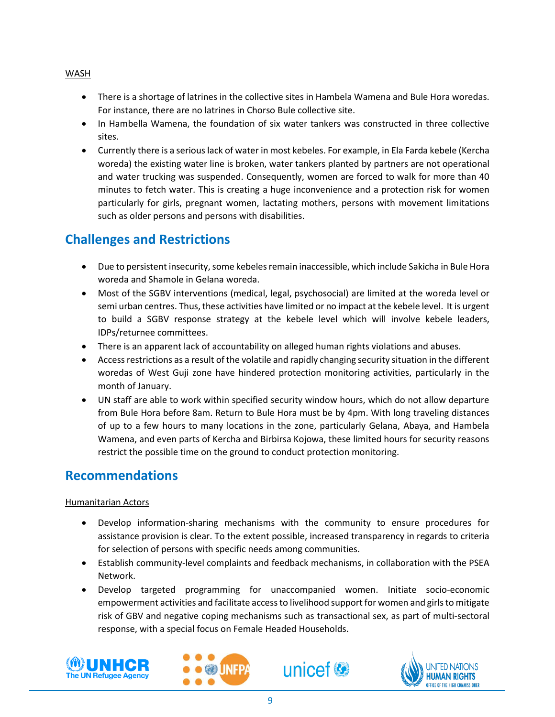- There is a shortage of latrines in the collective sites in Hambela Wamena and Bule Hora woredas. For instance, there are no latrines in Chorso Bule collective site.
- In Hambella Wamena, the foundation of six water tankers was constructed in three collective sites.
- Currently there is a serious lack of water in most kebeles. For example, in Ela Farda kebele (Kercha woreda) the existing water line is broken, water tankers planted by partners are not operational and water trucking was suspended. Consequently, women are forced to walk for more than 40 minutes to fetch water. This is creating a huge inconvenience and a protection risk for women particularly for girls, pregnant women, lactating mothers, persons with movement limitations such as older persons and persons with disabilities.

# **Challenges and Restrictions**

- Due to persistent insecurity, some kebeles remain inaccessible, which include Sakicha in Bule Hora woreda and Shamole in Gelana woreda.
- Most of the SGBV interventions (medical, legal, psychosocial) are limited at the woreda level or semi urban centres. Thus, these activities have limited or no impact at the kebele level. It is urgent to build a SGBV response strategy at the kebele level which will involve kebele leaders, IDPs/returnee committees.
- There is an apparent lack of accountability on alleged human rights violations and abuses.
- Access restrictions as a result of the volatile and rapidly changing security situation in the different woredas of West Guji zone have hindered protection monitoring activities, particularly in the month of January.
- UN staff are able to work within specified security window hours, which do not allow departure from Bule Hora before 8am. Return to Bule Hora must be by 4pm. With long traveling distances of up to a few hours to many locations in the zone, particularly Gelana, Abaya, and Hambela Wamena, and even parts of Kercha and Birbirsa Kojowa, these limited hours for security reasons restrict the possible time on the ground to conduct protection monitoring.

### **Recommendations**

#### Humanitarian Actors

- Develop information-sharing mechanisms with the community to ensure procedures for assistance provision is clear. To the extent possible, increased transparency in regards to criteria for selection of persons with specific needs among communities.
- Establish community-level complaints and feedback mechanisms, in collaboration with the PSEA Network.
- Develop targeted programming for unaccompanied women. Initiate socio-economic empowerment activities and facilitate access to livelihood support for women and girls to mitigate risk of GBV and negative coping mechanisms such as transactional sex, as part of multi-sectoral response, with a special focus on Female Headed Households.



l,







#### WASH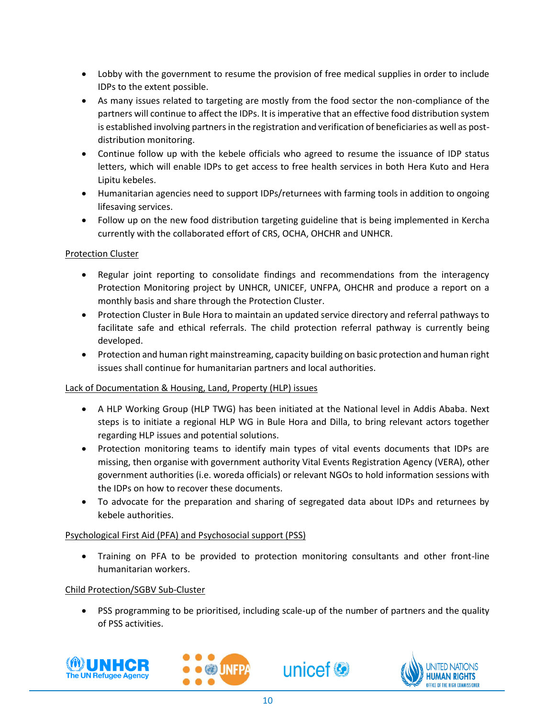- Lobby with the government to resume the provision of free medical supplies in order to include IDPs to the extent possible.
- As many issues related to targeting are mostly from the food sector the non-compliance of the partners will continue to affect the IDPs. It is imperative that an effective food distribution system is established involving partners in the registration and verification of beneficiaries as well as postdistribution monitoring.
- Continue follow up with the kebele officials who agreed to resume the issuance of IDP status letters, which will enable IDPs to get access to free health services in both Hera Kuto and Hera Lipitu kebeles.
- Humanitarian agencies need to support IDPs/returnees with farming tools in addition to ongoing lifesaving services.
- Follow up on the new food distribution targeting guideline that is being implemented in Kercha currently with the collaborated effort of CRS, OCHA, OHCHR and UNHCR.

#### Protection Cluster

- Regular joint reporting to consolidate findings and recommendations from the interagency Protection Monitoring project by UNHCR, UNICEF, UNFPA, OHCHR and produce a report on a monthly basis and share through the Protection Cluster.
- Protection Cluster in Bule Hora to maintain an updated service directory and referral pathways to facilitate safe and ethical referrals. The child protection referral pathway is currently being developed.
- Protection and human right mainstreaming, capacity building on basic protection and human right issues shall continue for humanitarian partners and local authorities.

#### Lack of Documentation & Housing, Land, Property (HLP) issues

- A HLP Working Group (HLP TWG) has been initiated at the National level in Addis Ababa. Next steps is to initiate a regional HLP WG in Bule Hora and Dilla, to bring relevant actors together regarding HLP issues and potential solutions.
- Protection monitoring teams to identify main types of vital events documents that IDPs are missing, then organise with government authority Vital Events Registration Agency (VERA), other government authorities (i.e. woreda officials) or relevant NGOs to hold information sessions with the IDPs on how to recover these documents.
- To advocate for the preparation and sharing of segregated data about IDPs and returnees by kebele authorities.

#### Psychological First Aid (PFA) and Psychosocial support (PSS)

 Training on PFA to be provided to protection monitoring consultants and other front-line humanitarian workers.

#### Child Protection/SGBV Sub-Cluster

 PSS programming to be prioritised, including scale-up of the number of partners and the quality of PSS activities.

unicef<sup>®</sup>





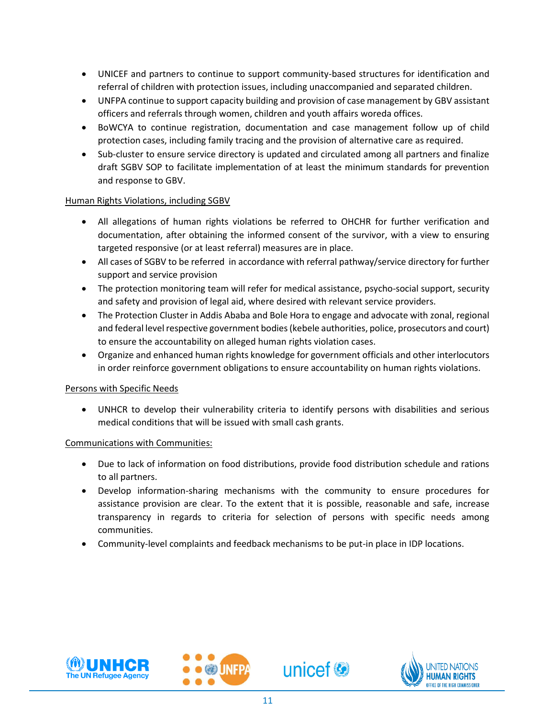- UNICEF and partners to continue to support community-based structures for identification and referral of children with protection issues, including unaccompanied and separated children.
- UNFPA continue to support capacity building and provision of case management by GBV assistant officers and referrals through women, children and youth affairs woreda offices.
- BoWCYA to continue registration, documentation and case management follow up of child protection cases, including family tracing and the provision of alternative care as required.
- Sub-cluster to ensure service directory is updated and circulated among all partners and finalize draft SGBV SOP to facilitate implementation of at least the minimum standards for prevention and response to GBV.

#### Human Rights Violations, including SGBV

- All allegations of human rights violations be referred to OHCHR for further verification and documentation, after obtaining the informed consent of the survivor, with a view to ensuring targeted responsive (or at least referral) measures are in place.
- All cases of SGBV to be referred in accordance with referral pathway/service directory for further support and service provision
- The protection monitoring team will refer for medical assistance, psycho-social support, security and safety and provision of legal aid, where desired with relevant service providers.
- The Protection Cluster in Addis Ababa and Bole Hora to engage and advocate with zonal, regional and federal level respective government bodies (kebele authorities, police, prosecutors and court) to ensure the accountability on alleged human rights violation cases.
- Organize and enhanced human rights knowledge for government officials and other interlocutors in order reinforce government obligations to ensure accountability on human rights violations.

#### Persons with Specific Needs

 UNHCR to develop their vulnerability criteria to identify persons with disabilities and serious medical conditions that will be issued with small cash grants.

#### Communications with Communities:

- Due to lack of information on food distributions, provide food distribution schedule and rations to all partners.
- Develop information-sharing mechanisms with the community to ensure procedures for assistance provision are clear. To the extent that it is possible, reasonable and safe, increase transparency in regards to criteria for selection of persons with specific needs among communities.
- Community-level complaints and feedback mechanisms to be put-in place in IDP locations.



l,





unicef<sup>®</sup>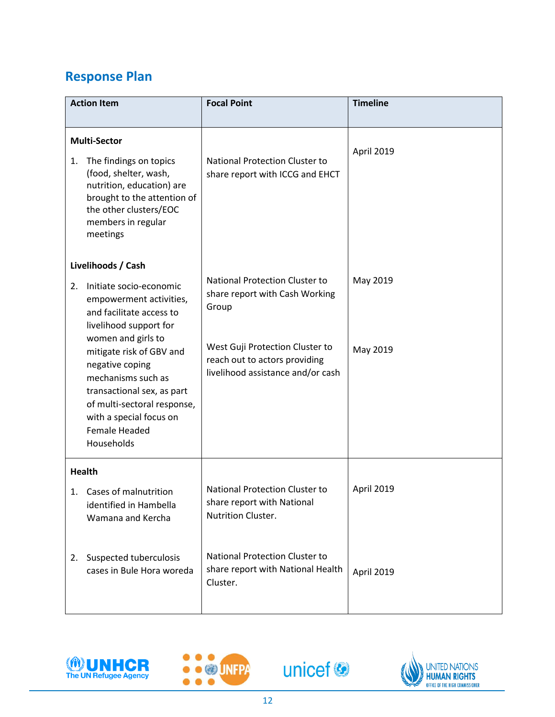# **Response Plan**

| <b>Action Item</b> |                                                                                                                                                                                                                       | <b>Focal Point</b>                                                                                    | <b>Timeline</b> |
|--------------------|-----------------------------------------------------------------------------------------------------------------------------------------------------------------------------------------------------------------------|-------------------------------------------------------------------------------------------------------|-----------------|
| 1.                 | <b>Multi-Sector</b><br>The findings on topics<br>(food, shelter, wash,<br>nutrition, education) are<br>brought to the attention of<br>the other clusters/EOC<br>members in regular<br>meetings                        | <b>National Protection Cluster to</b><br>share report with ICCG and EHCT                              | April 2019      |
|                    | Livelihoods / Cash                                                                                                                                                                                                    |                                                                                                       |                 |
| 2.                 | Initiate socio-economic<br>empowerment activities,<br>and facilitate access to<br>livelihood support for                                                                                                              | <b>National Protection Cluster to</b><br>share report with Cash Working<br>Group                      | May 2019        |
|                    | women and girls to<br>mitigate risk of GBV and<br>negative coping<br>mechanisms such as<br>transactional sex, as part<br>of multi-sectoral response,<br>with a special focus on<br><b>Female Headed</b><br>Households | West Guji Protection Cluster to<br>reach out to actors providing<br>livelihood assistance and/or cash | May 2019        |
|                    | <b>Health</b>                                                                                                                                                                                                         |                                                                                                       |                 |
|                    | 1. Cases of malnutrition<br>identified in Hambella<br>Wamana and Kercha                                                                                                                                               | <b>National Protection Cluster to</b><br>share report with National<br>Nutrition Cluster.             | April 2019      |
| 2.                 | Suspected tuberculosis<br>cases in Bule Hora woreda                                                                                                                                                                   | <b>National Protection Cluster to</b><br>share report with National Health<br>Cluster.                | April 2019      |







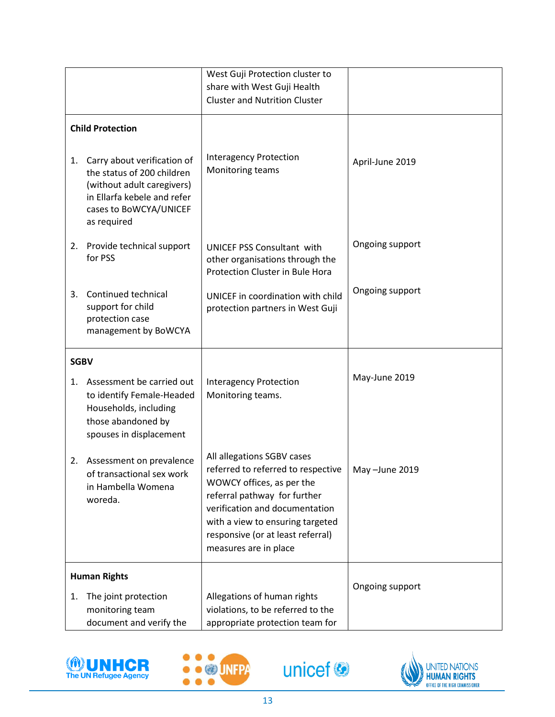|                     |                                                                                                                                                                 | West Guji Protection cluster to                                                                                                                                                                                                                                   |                 |
|---------------------|-----------------------------------------------------------------------------------------------------------------------------------------------------------------|-------------------------------------------------------------------------------------------------------------------------------------------------------------------------------------------------------------------------------------------------------------------|-----------------|
|                     |                                                                                                                                                                 | share with West Guji Health<br><b>Cluster and Nutrition Cluster</b>                                                                                                                                                                                               |                 |
|                     |                                                                                                                                                                 |                                                                                                                                                                                                                                                                   |                 |
|                     | <b>Child Protection</b>                                                                                                                                         |                                                                                                                                                                                                                                                                   |                 |
| 1.                  | Carry about verification of<br>the status of 200 children<br>(without adult caregivers)<br>in Ellarfa kebele and refer<br>cases to BoWCYA/UNICEF<br>as required | <b>Interagency Protection</b><br>Monitoring teams                                                                                                                                                                                                                 | April-June 2019 |
| 2.                  | Provide technical support<br>for PSS                                                                                                                            | <b>UNICEF PSS Consultant with</b><br>other organisations through the<br>Protection Cluster in Bule Hora                                                                                                                                                           | Ongoing support |
| 3.                  | Continued technical<br>support for child<br>protection case<br>management by BoWCYA                                                                             | UNICEF in coordination with child<br>protection partners in West Guji                                                                                                                                                                                             | Ongoing support |
| <b>SGBV</b>         |                                                                                                                                                                 |                                                                                                                                                                                                                                                                   |                 |
| 1.                  | Assessment be carried out<br>to identify Female-Headed<br>Households, including<br>those abandoned by<br>spouses in displacement                                | <b>Interagency Protection</b><br>Monitoring teams.                                                                                                                                                                                                                | May-June 2019   |
| 2.                  | Assessment on prevalence<br>of transactional sex work<br>in Hambella Womena<br>woreda.                                                                          | All allegations SGBV cases<br>referred to referred to respective<br>WOWCY offices, as per the<br>referral pathway for further<br>verification and documentation<br>with a view to ensuring targeted<br>responsive (or at least referral)<br>measures are in place | May-June 2019   |
| <b>Human Rights</b> |                                                                                                                                                                 |                                                                                                                                                                                                                                                                   |                 |
| 1.                  | The joint protection<br>monitoring team<br>document and verify the                                                                                              | Allegations of human rights<br>violations, to be referred to the<br>appropriate protection team for                                                                                                                                                               | Ongoing support |



l,



unicef<sup>®</sup>

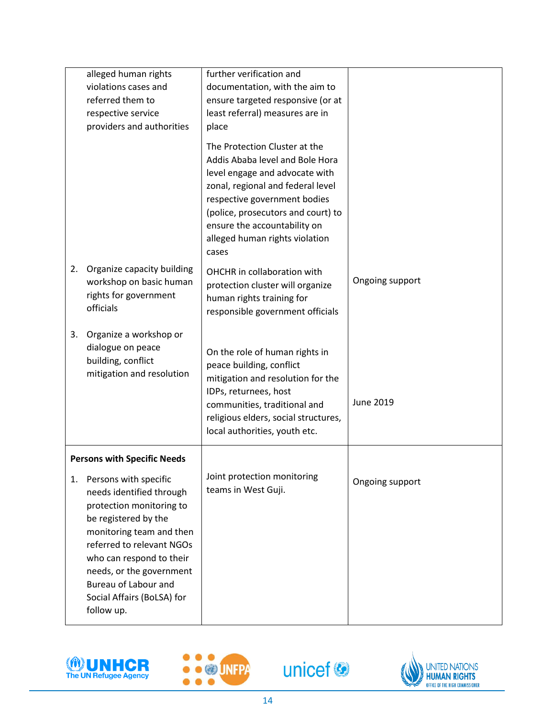|                                    | alleged human rights<br>violations cases and<br>referred them to<br>respective service<br>providers and authorities                                                                                                                                                                        | further verification and<br>documentation, with the aim to<br>ensure targeted responsive (or at<br>least referral) measures are in<br>place<br>The Protection Cluster at the<br>Addis Ababa level and Bole Hora<br>level engage and advocate with<br>zonal, regional and federal level |                  |
|------------------------------------|--------------------------------------------------------------------------------------------------------------------------------------------------------------------------------------------------------------------------------------------------------------------------------------------|----------------------------------------------------------------------------------------------------------------------------------------------------------------------------------------------------------------------------------------------------------------------------------------|------------------|
|                                    |                                                                                                                                                                                                                                                                                            | respective government bodies<br>(police, prosecutors and court) to<br>ensure the accountability on<br>alleged human rights violation<br>cases                                                                                                                                          |                  |
| 2.                                 | Organize capacity building<br>workshop on basic human<br>rights for government<br>officials                                                                                                                                                                                                | OHCHR in collaboration with<br>protection cluster will organize<br>human rights training for<br>responsible government officials                                                                                                                                                       | Ongoing support  |
| 3.                                 | Organize a workshop or<br>dialogue on peace<br>building, conflict<br>mitigation and resolution                                                                                                                                                                                             | On the role of human rights in<br>peace building, conflict<br>mitigation and resolution for the<br>IDPs, returnees, host<br>communities, traditional and<br>religious elders, social structures,<br>local authorities, youth etc.                                                      | <b>June 2019</b> |
| <b>Persons with Specific Needs</b> |                                                                                                                                                                                                                                                                                            |                                                                                                                                                                                                                                                                                        |                  |
| 1.                                 | Persons with specific<br>needs identified through<br>protection monitoring to<br>be registered by the<br>monitoring team and then<br>referred to relevant NGOs<br>who can respond to their<br>needs, or the government<br>Bureau of Labour and<br>Social Affairs (BoLSA) for<br>follow up. | Joint protection monitoring<br>teams in West Guji.                                                                                                                                                                                                                                     | Ongoing support  |